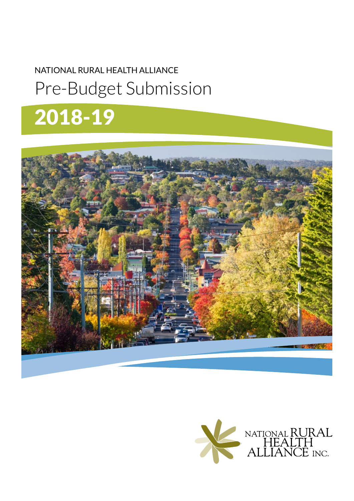# NATIONAL RURAL HEALTH ALLIANCE Pre-Budget Submission

# 2018-19



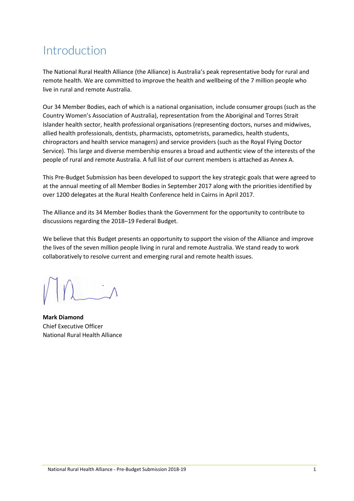### Introduction

The National Rural Health Alliance (the Alliance) is Australia's peak representative body for rural and remote health. We are committed to improve the health and wellbeing of the 7 million people who live in rural and remote Australia.

Our 34 Member Bodies, each of which is a national organisation, include consumer groups (such as the Country Women's Association of Australia), representation from the Aboriginal and Torres Strait Islander health sector, health professional organisations (representing doctors, nurses and midwives, allied health professionals, dentists, pharmacists, optometrists, paramedics, health students, chiropractors and health service managers) and service providers (such as the Royal Flying Doctor Service). This large and diverse membership ensures a broad and authentic view of the interests of the people of rural and remote Australia. A full list of our current members is attached as Annex A.

This Pre-Budget Submission has been developed to support the key strategic goals that were agreed to at the annual meeting of all Member Bodies in September 2017 along with the priorities identified by over 1200 delegates at the Rural Health Conference held in Cairns in April 2017.

The Alliance and its 34 Member Bodies thank the Government for the opportunity to contribute to discussions regarding the 2018–19 Federal Budget.

We believe that this Budget presents an opportunity to support the vision of the Alliance and improve the lives of the seven million people living in rural and remote Australia. We stand ready to work collaboratively to resolve current and emerging rural and remote health issues.

**Mark Diamond** Chief Executive Officer National Rural Health Alliance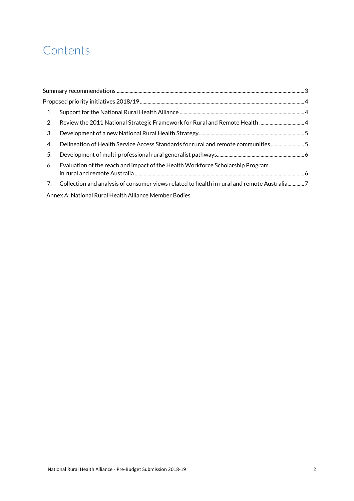### **Contents**

| 1. |                                                                                            |  |
|----|--------------------------------------------------------------------------------------------|--|
| 2. |                                                                                            |  |
| 3. |                                                                                            |  |
| 4. | Delineation of Health Service Access Standards for rural and remote communities5           |  |
| 5. |                                                                                            |  |
| 6. | Evaluation of the reach and impact of the Health Workforce Scholarship Program             |  |
| 7. | Collection and analysis of consumer views related to health in rural and remote Australia7 |  |
|    |                                                                                            |  |

Annex A: National Rural Health Alliance Member Bodies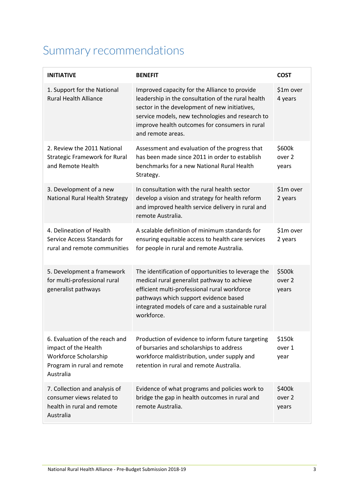### <span id="page-3-0"></span>Summary recommendations

| <b>INITIATIVE</b>                                                                                                           | <b>BENEFIT</b>                                                                                                                                                                                                                                                                  | <b>COST</b>                          |
|-----------------------------------------------------------------------------------------------------------------------------|---------------------------------------------------------------------------------------------------------------------------------------------------------------------------------------------------------------------------------------------------------------------------------|--------------------------------------|
| 1. Support for the National<br><b>Rural Health Alliance</b>                                                                 | Improved capacity for the Alliance to provide<br>leadership in the consultation of the rural health<br>sector in the development of new initiatives,<br>service models, new technologies and research to<br>improve health outcomes for consumers in rural<br>and remote areas. | \$1m over<br>4 years                 |
| 2. Review the 2011 National<br><b>Strategic Framework for Rural</b><br>and Remote Health                                    | Assessment and evaluation of the progress that<br>has been made since 2011 in order to establish<br>benchmarks for a new National Rural Health<br>Strategy.                                                                                                                     | \$600k<br>over <sub>2</sub><br>years |
| 3. Development of a new<br>National Rural Health Strategy                                                                   | In consultation with the rural health sector<br>develop a vision and strategy for health reform<br>and improved health service delivery in rural and<br>remote Australia.                                                                                                       | \$1m over<br>2 years                 |
| 4. Delineation of Health<br>Service Access Standards for<br>rural and remote communities                                    | A scalable definition of minimum standards for<br>ensuring equitable access to health care services<br>for people in rural and remote Australia.                                                                                                                                | \$1m over<br>2 years                 |
| 5. Development a framework<br>for multi-professional rural<br>generalist pathways                                           | The identification of opportunities to leverage the<br>medical rural generalist pathway to achieve<br>efficient multi-professional rural workforce<br>pathways which support evidence based<br>integrated models of care and a sustainable rural<br>workforce.                  | \$500k<br>over <sub>2</sub><br>years |
| 6. Evaluation of the reach and<br>impact of the Health<br>Workforce Scholarship<br>Program in rural and remote<br>Australia | Production of evidence to inform future targeting<br>of bursaries and scholarships to address<br>workforce maldistribution, under supply and<br>retention in rural and remote Australia.                                                                                        | \$150k<br>over 1<br>year             |
| 7. Collection and analysis of<br>consumer views related to<br>health in rural and remote<br>Australia                       | Evidence of what programs and policies work to<br>bridge the gap in health outcomes in rural and<br>remote Australia.                                                                                                                                                           | \$400k<br>over 2<br>years            |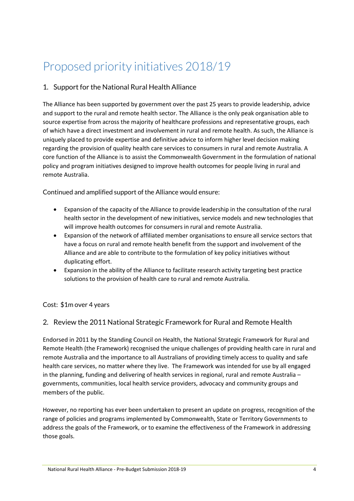### <span id="page-4-0"></span>Proposed priority initiatives 2018/19

#### <span id="page-4-1"></span>1. Support for the National Rural Health Alliance

The Alliance has been supported by government over the past 25 years to provide leadership, advice and support to the rural and remote health sector. The Alliance is the only peak organisation able to source expertise from across the majority of healthcare professions and representative groups, each of which have a direct investment and involvement in rural and remote health. As such, the Alliance is uniquely placed to provide expertise and definitive advice to inform higher level decision making regarding the provision of quality health care services to consumers in rural and remote Australia. A core function of the Alliance is to assist the Commonwealth Government in the formulation of national policy and program initiatives designed to improve health outcomes for people living in rural and remote Australia.

Continued and amplified support of the Alliance would ensure:

- Expansion of the capacity of the Alliance to provide leadership in the consultation of the rural health sector in the development of new initiatives, service models and new technologies that will improve health outcomes for consumers in rural and remote Australia.
- Expansion of the network of affiliated member organisations to ensure all service sectors that have a focus on rural and remote health benefit from the support and involvement of the Alliance and are able to contribute to the formulation of key policy initiatives without duplicating effort.
- Expansion in the ability of the Alliance to facilitate research activity targeting best practice solutions to the provision of health care to rural and remote Australia.

#### Cost:\$1m over 4 years

#### <span id="page-4-2"></span>2. Review the 2011 National Strategic Framework for Rural and Remote Health

Endorsed in 2011 by the Standing Council on Health, the National Strategic Framework for Rural and Remote Health (the Framework) recognised the unique challenges of providing health care in rural and remote Australia and the importance to all Australians of providing timely access to quality and safe health care services, no matter where they live. The Framework was intended for use by all engaged in the planning, funding and delivering of health services in regional, rural and remote Australia – governments, communities, local health service providers, advocacy and community groups and members of the public.

However, no reporting has ever been undertaken to present an update on progress, recognition of the range of policies and programs implemented by Commonwealth, State or Territory Governments to address the goals of the Framework, or to examine the effectiveness of the Framework in addressing those goals.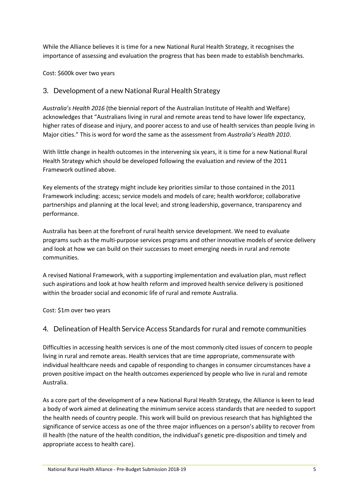While the Alliance believes it is time for a new National Rural Health Strategy, it recognises the importance of assessing and evaluation the progress that has been made to establish benchmarks.

Cost: \$600k over two years

#### <span id="page-5-0"></span>3. Development of a new National Rural Health Strategy

*Australia's Health 2016* (the biennial report of the Australian Institute of Health and Welfare) acknowledges that "Australians living in rural and remote areas tend to have lower life expectancy, higher rates of disease and injury, and poorer access to and use of health services than people living in Major cities." This is word for word the same as the assessment from *Australia's Health 2010*.

With little change in health outcomes in the intervening six years, it is time for a new National Rural Health Strategy which should be developed following the evaluation and review of the 2011 Framework outlined above.

Key elements of the strategy might include key priorities similar to those contained in the 2011 Framework including: access; service models and models of care; health workforce; collaborative partnerships and planning at the local level; and strong leadership, governance, transparency and performance.

Australia has been at the forefront of rural health service development. We need to evaluate programs such as the multi-purpose services programs and other innovative models of service delivery and look at how we can build on their successes to meet emerging needs in rural and remote communities.

A revised National Framework, with a supporting implementation and evaluation plan, must reflect such aspirations and look at how health reform and improved health service delivery is positioned within the broader social and economic life of rural and remote Australia.

Cost: \$1m over two years

#### <span id="page-5-1"></span>4. Delineation of Health Service Access Standards for rural and remote communities

Difficulties in accessing health services is one of the most commonly cited issues of concern to people living in rural and remote areas. Health services that are time appropriate, commensurate with individual healthcare needs and capable of responding to changes in consumer circumstances have a proven positive impact on the health outcomes experienced by people who live in rural and remote Australia.

As a core part of the development of a new National Rural Health Strategy, the Alliance is keen to lead a body of work aimed at delineating the minimum service access standards that are needed to support the health needs of country people. This work will build on previous research that has highlighted the significance of service access as one of the three major influences on a person's ability to recover from ill health (the nature of the health condition, the individual's genetic pre-disposition and timely and appropriate access to health care).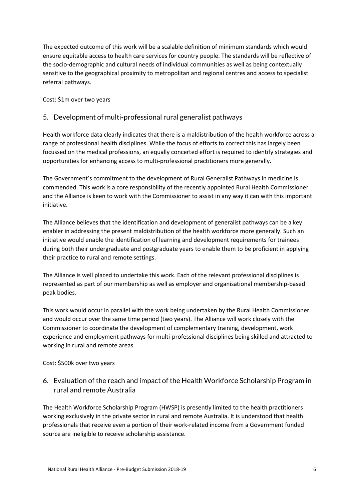The expected outcome of this work will be a scalable definition of minimum standards which would ensure equitable access to health care services for country people. The standards will be reflective of the socio-demographic and cultural needs of individual communities as well as being contextually sensitive to the geographical proximity to metropolitan and regional centres and access to specialist referral pathways.

Cost: \$1m over two years

#### <span id="page-6-0"></span>5. Development of multi-professional rural generalist pathways

Health workforce data clearly indicates that there is a maldistribution of the health workforce across a range of professional health disciplines. While the focus of efforts to correct this has largely been focussed on the medical professions, an equally concerted effort is required to identify strategies and opportunities for enhancing access to multi-professional practitioners more generally.

The Government's commitment to the development of Rural Generalist Pathways in medicine is commended. This work is a core responsibility of the recently appointed Rural Health Commissioner and the Alliance is keen to work with the Commissioner to assist in any way it can with this important initiative.

The Alliance believes that the identification and development of generalist pathways can be a key enabler in addressing the present maldistribution of the health workforce more generally. Such an initiative would enable the identification of learning and development requirements for trainees during both their undergraduate and postgraduate years to enable them to be proficient in applying their practice to rural and remote settings.

The Alliance is well placed to undertake this work. Each of the relevant professional disciplines is represented as part of our membership as well as employer and organisational membership-based peak bodies.

This work would occur in parallel with the work being undertaken by the Rural Health Commissioner and would occur over the same time period (two years). The Alliance will work closely with the Commissioner to coordinate the development of complementary training, development, work experience and employment pathways for multi-professional disciplines being skilled and attracted to working in rural and remote areas.

Cost: \$500k over two years

#### <span id="page-6-1"></span>6. Evaluation of the reach and impact of the Health Workforce Scholarship Program in rural and remote Australia

The Health Workforce Scholarship Program (HWSP) is presently limited to the health practitioners working exclusively in the private sector in rural and remote Australia. It is understood that health professionals that receive even a portion of their work-related income from a Government funded source are ineligible to receive scholarship assistance.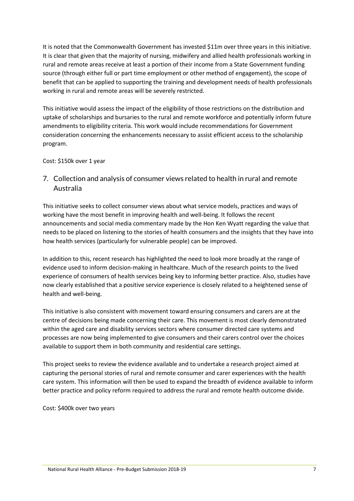It is noted that the Commonwealth Government has invested \$11m over three years in this initiative. It is clear that given that the majority of nursing, midwifery and allied health professionals working in rural and remote areas receive at least a portion of their income from a State Government funding source (through either full or part time employment or other method of engagement), the scope of benefit that can be applied to supporting the training and development needs of health professionals working in rural and remote areas will be severely restricted.

This initiative would assess the impact of the eligibility of those restrictions on the distribution and uptake of scholarships and bursaries to the rural and remote workforce and potentially inform future amendments to eligibility criteria. This work would include recommendations for Government consideration concerning the enhancements necessary to assist efficient access to the scholarship program.

Cost: \$150k over 1 year

<span id="page-7-0"></span>7. Collection and analysis of consumer views related to health in rural and remote Australia

This initiative seeks to collect consumer views about what service models, practices and ways of working have the most benefit in improving health and well-being. It follows the recent announcements and social media commentary made by the Hon Ken Wyatt regarding the value that needs to be placed on listening to the stories of health consumers and the insights that they have into how health services (particularly for vulnerable people) can be improved.

In addition to this, recent research has highlighted the need to look more broadly at the range of evidence used to inform decision-making in healthcare. Much of the research points to the lived experience of consumers of health services being key to informing better practice. Also, studies have now clearly established that a positive service experience is closely related to a heightened sense of health and well-being.

This initiative is also consistent with movement toward ensuring consumers and carers are at the centre of decisions being made concerning their care. This movement is most clearly demonstrated within the aged care and disability services sectors where consumer directed care systems and processes are now being implemented to give consumers and their carers control over the choices available to support them in both community and residential care settings.

This project seeks to review the evidence available and to undertake a research project aimed at capturing the personal stories of rural and remote consumer and carer experiences with the health care system. This information will then be used to expand the breadth of evidence available to inform better practice and policy reform required to address the rural and remote health outcome divide.

Cost: \$400k over two years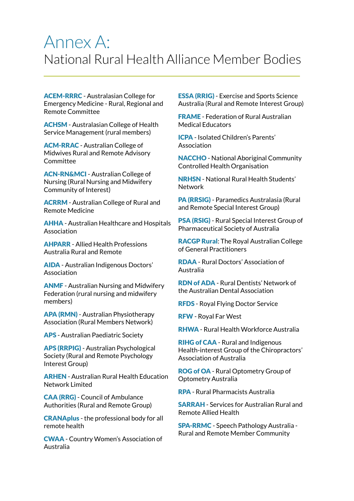## Annex A: National Rural Health Alliance Member Bodies

ACEM-RRRC - Australasian College for Emergency Medicine - Rural, Regional and Remote Committee

ACHSM - Australasian College of Health Service Management (rural members)

ACM-RRAC - Australian College of Midwives Rural and Remote Advisory Committee

ACN-RN&MCI - Australian College of Nursing (Rural Nursing and Midwifery Community of Interest)

ACRRM - Australian College of Rural and Remote Medicine

AHHA - Australian Healthcare and Hospitals Association

AHPARR - Allied Health Professions Australia Rural and Remote

AIDA - Australian Indigenous Doctors' Association

ANMF - Australian Nursing and Midwifery Federation (rural nursing and midwifery members)

APA (RMN) - Australian Physiotherapy Association (Rural Members Network)

APS - Australian Paediatric Society

APS (RRPIG) - Australian Psychological Society (Rural and Remote Psychology Interest Group)

ARHEN - Australian Rural Health Education Network Limited

CAA (RRG) - Council of Ambulance Authorities (Rural and Remote Group)

CRANAplus - the professional body for all remote health

CWAA - Country Women's Association of Australia

ESSA (RRIG) - Exercise and Sports Science Australia (Rural and Remote Interest Group)

FRAME - Federation of Rural Australian Medical Educators

ICPA - Isolated Children's Parents' Association

NACCHO - National Aboriginal Community Controlled Health Organisation

NRHSN - National Rural Health Students' Network

PA (RRSIG) - Paramedics Australasia (Rural and Remote Special Interest Group)

PSA (RSIG) - Rural Special Interest Group of Pharmaceutical Society of Australia

RACGP Rural: The Royal Australian College of General Practitioners

RDAA - Rural Doctors' Association of Australia

RDN of ADA - Rural Dentists' Network of the Australian Dental Association

RFDS - Royal Flying Doctor Service

RFW - Royal Far West

RHWA - Rural Health Workforce Australia

RIHG of CAA - Rural and Indigenous Health-interest Group of the Chiropractors' Association of Australia

ROG of OA - Rural Optometry Group of Optometry Australia

RPA - Rural Pharmacists Australia

SARRAH - Services for Australian Rural and Remote Allied Health

SPA-RRMC - Speech Pathology Australia - Rural and Remote Member Community